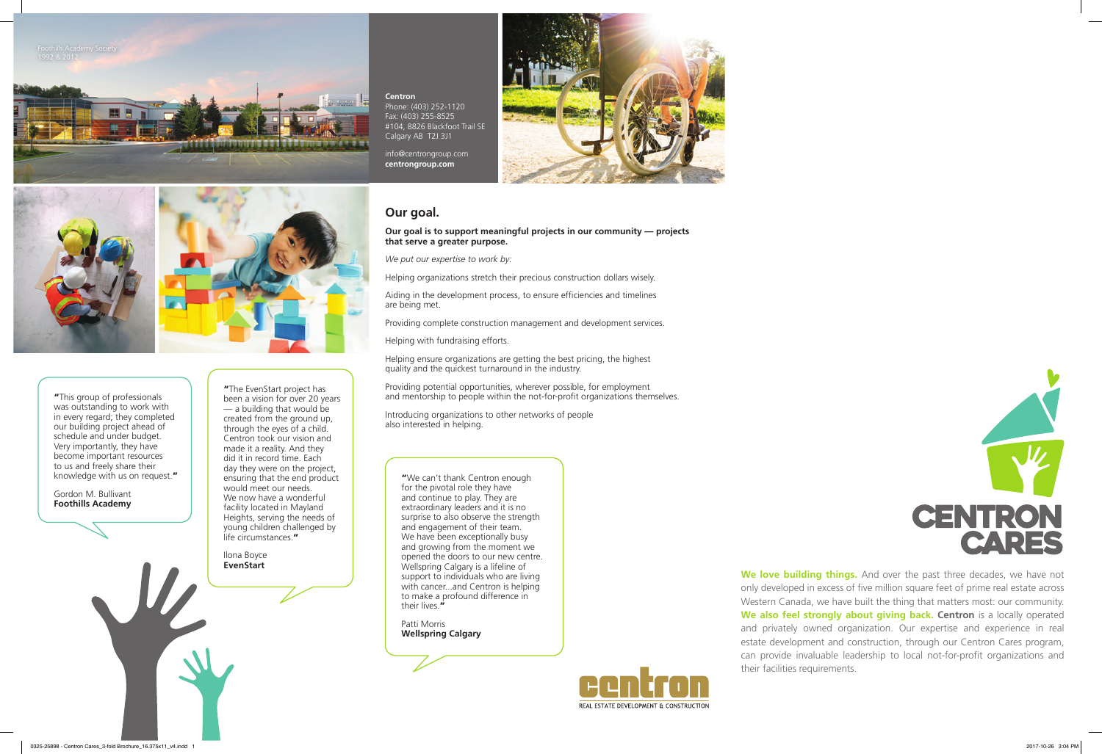Patti Morris **Wellspring Calgary**



# **Our goal.**

Providing potential opportunities, wherever possible, for employment and mentorship to people within the not-for-profit organizations themselves.

**Our goal is to support meaningful projects in our community — projects that serve a greater purpose.** 

*We put our expertise to work by:*

Helping organizations stretch their precious construction dollars wisely.

"The EvenStart project has been a vision for over 20 years  $-$  a building that would be created from the ground up, through the eyes of a child. Centron took our vision and made it a reality. And they did it in record time. Each day they were on the project, ensuring that the end product would meet our needs. We now have a wonderful facility located in Mayland Heights, serving the needs of young children challenged by life circumstances."

Aiding in the development process, to ensure efficiencies and timelines are being met.

Providing complete construction management and development services.

Helping with fundraising efforts.

Helping ensure organizations are getting the best pricing, the highest quality and the quickest turnaround in the industry.

> We love building things. And over the past three decades, we have not only developed in excess of five million square feet of prime real estate across Western Canada, we have built the thing that matters most: our community. **We also feel strongly about giving back. Centron** is a locally operated and privately owned organization. Our expertise and experience in real estate development and construction, through our Centron Cares program, can provide invaluable leadership to local not-for-profit organizations and

Introducing organizations to other networks of people also interested in helping.

"We can't thank Centron enough for the pivotal role they have and continue to play. They are extraordinary leaders and it is no surprise to also observe the strength and engagement of their team. We have been exceptionally busy and growing from the moment we opened the doors to our new centre. Wellspring Calgary is a lifeline of support to individuals who are living with cancer...and Centron is helping to make a profound difference in their lives."

#### **Centron** Phone: (403) 252-1120 Fax: (403) 255-8525

#104, 8826 Blackfoot Trail SE Calgary AB T2J 3J1

info@centrongroup.com **centrongroup.com**

Ilona Boyce **EvenStart**

their facilities requirements.



REAL ESTATE DEVELOPMENT & CONSTRUCTION



"This group of professionals was outstanding to work with in every regard; they completed our building project ahead of schedule and under budget. Very importantly, they have become important resources to us and freely share their knowledge with us on request."

Gordon M. Bullivant **Foothills Academy**